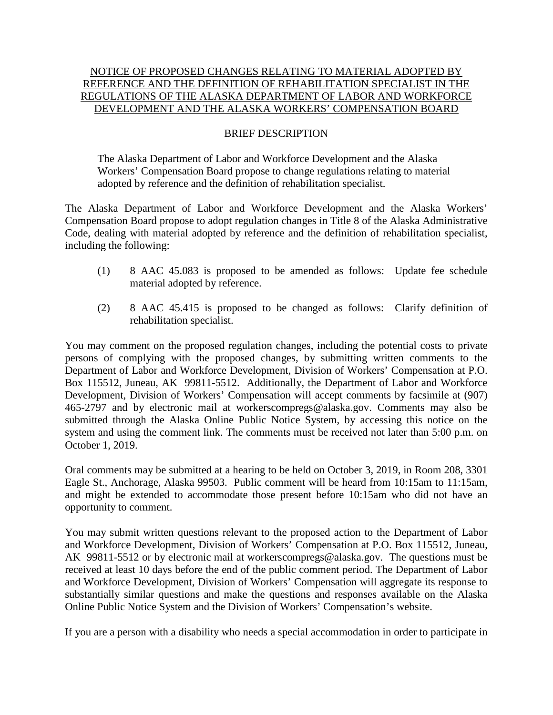## NOTICE OF PROPOSED CHANGES RELATING TO MATERIAL ADOPTED BY REFERENCE AND THE DEFINITION OF REHABILITATION SPECIALIST IN THE REGULATIONS OF THE ALASKA DEPARTMENT OF LABOR AND WORKFORCE DEVELOPMENT AND THE ALASKA WORKERS' COMPENSATION BOARD

## BRIEF DESCRIPTION

The Alaska Department of Labor and Workforce Development and the Alaska Workers' Compensation Board propose to change regulations relating to material adopted by reference and the definition of rehabilitation specialist.

The Alaska Department of Labor and Workforce Development and the Alaska Workers' Compensation Board propose to adopt regulation changes in Title 8 of the Alaska Administrative Code, dealing with material adopted by reference and the definition of rehabilitation specialist, including the following:

- (1) 8 AAC 45.083 is proposed to be amended as follows: Update fee schedule material adopted by reference.
- (2) 8 AAC 45.415 is proposed to be changed as follows: Clarify definition of rehabilitation specialist.

You may comment on the proposed regulation changes, including the potential costs to private persons of complying with the proposed changes, by submitting written comments to the Department of Labor and Workforce Development, Division of Workers' Compensation at P.O. Box 115512, Juneau, AK 99811-5512. Additionally, the Department of Labor and Workforce Development, Division of Workers' Compensation will accept comments by facsimile at (907) 465-2797 and by electronic mail at workerscompregs@alaska.gov. Comments may also be submitted through the Alaska Online Public Notice System, by accessing this notice on the system and using the comment link. The comments must be received not later than 5:00 p.m. on October 1, 2019.

Oral comments may be submitted at a hearing to be held on October 3, 2019, in Room 208, 3301 Eagle St., Anchorage, Alaska 99503. Public comment will be heard from 10:15am to 11:15am, and might be extended to accommodate those present before 10:15am who did not have an opportunity to comment.

You may submit written questions relevant to the proposed action to the Department of Labor and Workforce Development, Division of Workers' Compensation at P.O. Box 115512, Juneau, AK 99811-5512 or by electronic mail at workerscompregs@alaska.gov. The questions must be received at least 10 days before the end of the public comment period. The Department of Labor and Workforce Development, Division of Workers' Compensation will aggregate its response to substantially similar questions and make the questions and responses available on the Alaska Online Public Notice System and the Division of Workers' Compensation's website.

If you are a person with a disability who needs a special accommodation in order to participate in